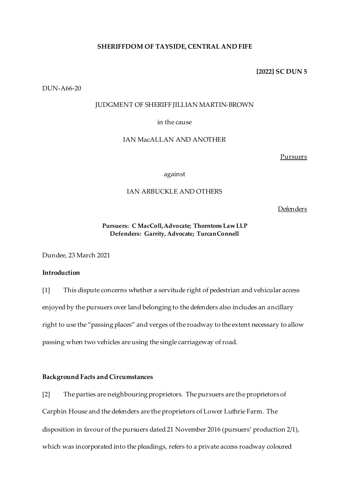### **SHERIFFDOM OF TAYSIDE, CENTRAL AND FIFE**

**[2022] SC DUN 5**

DUN-A66-20

### JUDGMENT OF SHERIFF JILLIAN MARTIN-BROWN

## in the cause

# IAN MacALLAN AND ANOTHER

**Pursuers** 

against

## IAN ARBUCKLE AND OTHERS

Defenders

# **Pursuers: C MacColl, Advocate; Thorntons Law LLP Defenders: Garrity, Advocate; Turcan Connell**

Dundee, 23 March 2021

## **Introduction**

[1] This dispute concerns whether a servitude right of pedestrian and vehicular access enjoyed by the pursuers over land belonging to the defenders also includes an ancillary right to use the "passing places" and verges of the roadway to the extent necessary to allow passing when two vehicles are using the single carriageway of road.

### **Background Facts and Circumstances**

[2] The parties are neighbouring proprietors. The pursuers are the proprietors of Carphin House and the defenders are the proprietors of Lower Luthrie Farm. The disposition in favour of the pursuers dated 21 November 2016 (pursuers' production 2/1), which was incorporated into the pleadings, refers to a private access roadway coloured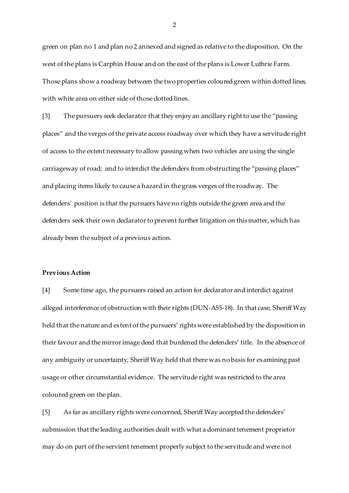green on plan no 1 and plan no 2 annexed and signed as relative to the disposition. On the west of the plans is Carphin House and on the east of the plans is Lower Luthrie Farm. Those plans show a roadway between the two properties coloured green within dotted lines, with white area on either side of those dotted lines.

[3] The pursuers seek declarator that they enjoy an ancillary right to use the "passing places" and the verges of the private access roadway over which they have a servitude right of access to the extent necessary to allow passing when two vehicles are using the single carriageway of road; and to interdict the defenders from obstructing the "passing places" and placing items likely to cause a hazard in the grass verges of the roadway. The defenders' position is that the pursuers have no rights outside the green area and the defenders seek their own declarator to prevent further litigation on this matter, which has already been the subject of a previous action.

#### **Previous Action**

[4] Some time ago, the pursuers raised an action for declarator and interdict against alleged interference of obstruction with their rights (DUN-A55-18). In that case, Sheriff Way held that the nature and extent of the pursuers' rights were established by the disposition in their favour and the mirror image deed that burdened the defenders' title. In the absence of any ambiguity or uncertainty, Sheriff Way held that there was no basis for examining past usage or other circumstantial evidence. The servitude right was restricted to the area coloured green on the plan.

[5] As far as ancillary rights were concerned, Sheriff Way accepted the defenders' submission that the leading authorities dealt with what a dominant tenement proprietor may do on part of the servient tenement properly subject to the servitude and were not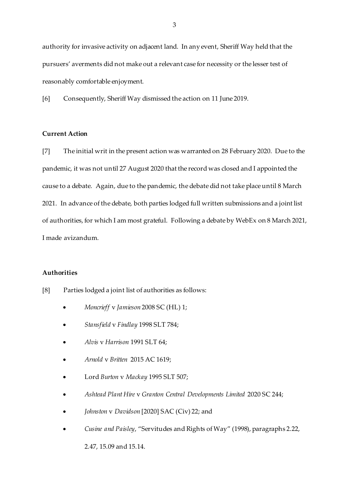authority for invasive activity on adjacent land. In any event, Sheriff Way held that the pursuers' averments did not make out a relevant case for necessity or the lesser test of reasonably comfortable enjoyment.

[6] Consequently, Sheriff Way dismissed the action on 11 June 2019.

# **Current Action**

[7] The initial writ in the present action was warranted on 28 February 2020. Due to the pandemic, it was not until 27 August 2020 that the record was closed and I appointed the cause to a debate. Again, due to the pandemic, the debate did not take place until 8 March 2021. In advance of the debate, both parties lodged full written submissions and a joint list of authorities, for which I am most grateful. Following a debate by WebEx on 8 March 2021, I made avizandum.

### **Authorities**

- [8] Parties lodged a joint list of authorities as follows:
	- *Moncrieff* v *Jamieson* 2008 SC (HL) 1;
	- *Stansfield* v *Findlay* 1998 SLT 784;
	- *Alvis* v *Harrison* 1991 SLT 64;
	- *Arnold* v *Britten* 2015 AC 1619;
	- Lord *Burton* v *Mackay* 1995 SLT 507;
	- *Ashtead Plant Hire* v *Granton Central Developments Limited* 2020 SC 244;
	- *Johnston* v *Davidson* [2020] SAC (Civ) 22; and
	- *Cusine and Paisley*, "Servitudes and Rights of Way" (1998), paragraphs 2.22,

2.47, 15.09 and 15.14.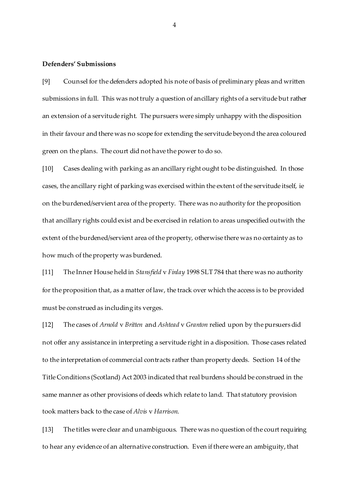#### **Defenders' Submissions**

[9] Counsel for the defenders adopted his note of basis of preliminary pleas and written submissions in full. This was not truly a question of ancillary rights of a servitude but rather an extension of a servitude right. The pursuers were simply unhappy with the disposition in their favour and there was no scope for extending the servitude beyond the area coloured green on the plans. The court did not have the power to do so.

[10] Cases dealing with parking as an ancillary right ought to be distinguished. In those cases, the ancillary right of parking was exercised within the extent of the servitude itself, ie on the burdened/servient area of the property. There was no authority for the proposition that ancillary rights could exist and be exercised in relation to areas unspecified outwith the extent of the burdened/servient area of the property, otherwise there was no certainty as to how much of the property was burdened.

[11] The Inner House held in *Stansfield* v *Finlay* 1998 SLT 784 that there was no authority for the proposition that, as a matter of law, the track over which the access is to be provided must be construed as including its verges.

[12] The cases of *Arnold* v *Britten* and *Ashtead* v *Granton* relied upon by the pursuers did not offer any assistance in interpreting a servitude right in a disposition. Those cases related to the interpretation of commercial contracts rather than property deeds. Section 14 of the Title Conditions (Scotland) Act 2003 indicated that real burdens should be construed in the same manner as other provisions of deeds which relate to land. That statutory provision took matters back to the case of *Alvis* v *Harrison*.

[13] The titles were clear and unambiguous. There was no question of the court requiring to hear any evidence of an alternative construction. Even if there were an ambiguity, that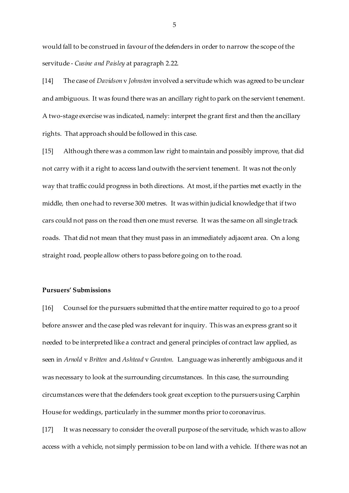would fall to be construed in favour of the defenders in order to narrow the scope of the servitude - *Cusine and Paisley* at paragraph 2.22.

[14] The case of *Davidson* v *Johnston* involved a servitude which was agreed to be unclear and ambiguous. It was found there was an ancillary right to park on the servient tenement. A two-stage exercise was indicated, namely: interpret the grant first and then the ancillary rights. That approach should be followed in this case.

[15] Although there was a common law right to maintain and possibly improve, that did not carry with it a right to access land outwith the servient tenement. It was not the only way that traffic could progress in both directions. At most, if the parties met exactly in the middle, then one had to reverse 300 metres. It was within judicial knowledge that if two cars could not pass on the road then one must reverse. It was the same on all single track roads. That did not mean that they must pass in an immediately adjacent area. On a long straight road, people allow others to pass before going on to the road.

#### **Pursuers' Submissions**

[16] Counsel for the pursuers submitted that the entire matter required to go to a proof before answer and the case pled was relevant for inquiry. This was an express grant so it needed to be interpreted like a contract and general principles of contract law applied, as seen in *Arnold* v *Britten* and *Ashtead* v *Granton*. Language was inherently ambiguous and it was necessary to look at the surrounding circumstances. In this case, the surrounding circumstances were that the defenders took great exception to the pursuers using Carphin House for weddings, particularly in the summer months prior to coronavirus.

[17] It was necessary to consider the overall purpose of the servitude, which was to allow access with a vehicle, not simply permission to be on land with a vehicle. If there was not an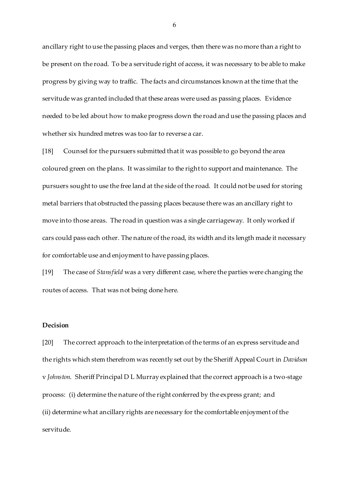ancillary right to use the passing places and verges, then there was no more than a right to be present on the road. To be a servitude right of access, it was necessary to be able to make progress by giving way to traffic. The facts and circumstances known at the time that the servitude was granted included that these areas were used as passing places. Evidence needed to be led about how to make progress down the road and use the passing places and whether six hundred metres was too far to reverse a car.

[18] Counsel for the pursuers submitted that it was possible to go beyond the area coloured green on the plans. It was similar to the right to support and maintenance. The pursuers sought to use the free land at the side of the road. It could not be used for storing metal barriers that obstructed the passing places because there was an ancillary right to move into those areas. The road in question was a single carriageway. It only worked if cars could pass each other. The nature of the road, its width and its length made it necessary for comfortable use and enjoyment to have passing places.

[19] The case of *Stansfield* was a very different case, where the parties were changing the routes of access. That was not being done here.

# **Decision**

[20] The correct approach to the interpretation of the terms of an express servitude and the rights which stem therefrom was recently set out by the Sheriff Appeal Court in *Davidson* v *Johnston*. Sheriff Principal D L Murray explained that the correct approach is a two-stage process: (i) determine the nature of the right conferred by the express grant; and (ii) determine what ancillary rights are necessary for the comfortable enjoyment of the servitude.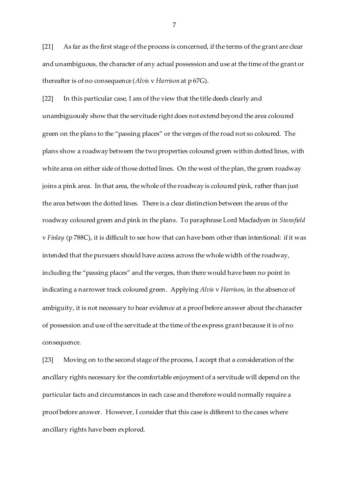[21] As far as the first stage of the process is concerned, if the terms of the grant are clear and unambiguous, the character of any actual possession and use at the time of the grant or thereafter is of no consequence (*Alvis* v *Harrison* at p 67G).

[22] In this particular case, I am of the view that the title deeds clearly and unambiguously show that the servitude right does not extend beyond the area coloured green on the plans to the "passing places" or the verges of the road not so coloured. The plans show a roadway between the two properties coloured green within dotted lines, with white area on either side of those dotted lines. On the west of the plan, the green roadway joins a pink area. In that area, the whole of the roadway is coloured pink, rather than just the area between the dotted lines. There is a clear distinction between the areas of the roadway coloured green and pink in the plans. To paraphrase Lord Macfadyen in *Stansfield* v *Finlay* (p 788C), it is difficult to see how that can have been other than intentional: if it was intended that the pursuers should have access across the whole width of the roadway, including the "passing places" and the verges, then there would have been no point in indicating a narrower track coloured green. Applying *Alvis* v *Harrison*, in the absence of ambiguity, it is not necessary to hear evidence at a proof before answer about the character of possession and use of the servitude at the time of the express grant because it is of no consequence.

[23] Moving on to the second stage of the process, I accept that a consideration of the ancillary rights necessary for the comfortable enjoyment of a servitude will depend on the particular facts and circumstances in each case and therefore would normally require a proof before answer. However, I consider that this case is different to the cases where ancillary rights have been explored.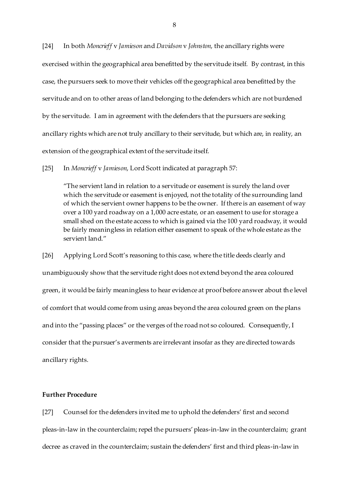[24] In both *Moncrieff* v *Jamieson* and *Davidson* v *Johnston*, the ancillary rights were exercised within the geographical area benefitted by the servitude itself. By contrast, in this case, the pursuers seek to move their vehicles off the geographical area benefitted by the servitude and on to other areas of land belonging to the defenders which are not burdened by the servitude. I am in agreement with the defenders that the pursuers are seeking ancillary rights which are not truly ancillary to their servitude, but which are, in reality, an extension of the geographical extent of the servitude itself.

[25] In *Moncrieff* v *Jamieson*, Lord Scott indicated at paragraph 57:

"The servient land in relation to a servitude or easement is surely the land over which the servitude or easement is enjoyed, not the totality of the surrounding land of which the servient owner happens to be the owner. If there is an easement of way over a 100 yard roadway on a 1,000 acre estate, or an easement to use for storage a small shed on the estate access to which is gained via the 100 yard roadway, it would be fairly meaningless in relation either easement to speak of the whole estate as the servient land."

[26] Applying Lord Scott's reasoning to this case, where the title deeds clearly and unambiguously show that the servitude right does not extend beyond the area coloured green, it would be fairly meaningless to hear evidence at proof before answer about the level of comfort that would come from using areas beyond the area coloured green on the plans and into the "passing places" or the verges of the road not so coloured. Consequently, I consider that the pursuer's averments are irrelevant insofar as they are directed towards ancillary rights.

## **Further Procedure**

[27] Counsel for the defenders invited me to uphold the defenders' first and second pleas-in-law in the counterclaim; repel the pursuers' pleas-in-law in the counterclaim; grant decree as craved in the counterclaim; sustain the defenders' first and third pleas-in-law in